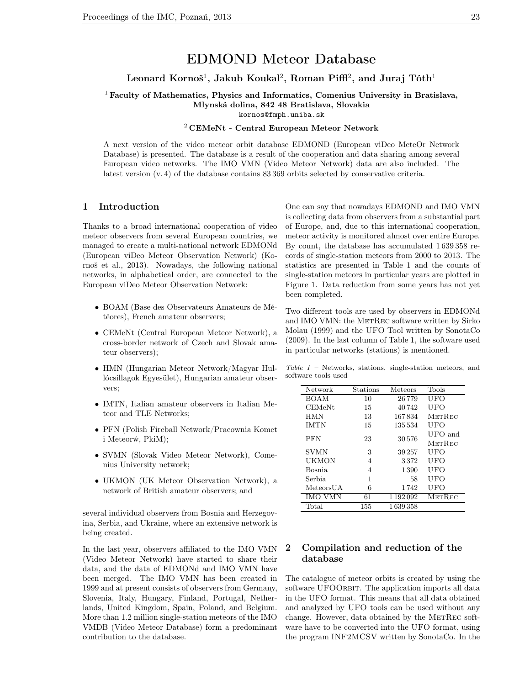# EDMOND Meteor Database

## Leonard Kornoš $^1$ , Jakub Koukal $^2$ , Roman Piffl $^2$ , and Juraj Tóth $^1$

<sup>1</sup> Faculty of Mathematics, Physics and Informatics, Comenius University in Bratislava, Mlynská dolina, 842 48 Bratislava, Slovakia kornos@fmph.uniba.sk

#### <sup>2</sup> CEMeNt - Central European Meteor Network

A next version of the video meteor orbit database EDMOND (European viDeo MeteOr Network Database) is presented. The database is a result of the cooperation and data sharing among several European video networks. The IMO VMN (Video Meteor Network) data are also included. The latest version (v. 4) of the database contains 83 369 orbits selected by conservative criteria.

## 1 Introduction

Thanks to a broad international cooperation of video meteor observers from several European countries, we managed to create a multi-national network EDMONd (European viDeo Meteor Observation Network) (Kornoš et al., 2013). Nowadays, the following national networks, in alphabetical order, are connected to the European viDeo Meteor Observation Network:

- BOAM (Base des Observateurs Amateurs de Météores), French amateur observers;
- CEMeNt (Central European Meteor Network), a cross-border network of Czech and Slovak amateur observers);
- HMN (Hungarian Meteor Network/Magyar Hullócsillagok Egyesület), Hungarian amateur observers;
- IMTN, Italian amateur observers in Italian Meteor and TLE Networks;
- PFN (Polish Fireball Network/Pracownia Komet i Meteorẃ, PkiM);
- SVMN (Slovak Video Meteor Network), Comenius University network;
- UKMON (UK Meteor Observation Network), a network of British amateur observers; and

several individual observers from Bosnia and Herzegovina, Serbia, and Ukraine, where an extensive network is being created.

In the last year, observers affiliated to the IMO VMN (Video Meteor Network) have started to share their data, and the data of EDMONd and IMO VMN have been merged. The IMO VMN has been created in 1999 and at present consists of observers from Germany, Slovenia, Italy, Hungary, Finland, Portugal, Netherlands, United Kingdom, Spain, Poland, and Belgium. More than 1.2 million single-station meteors of the IMO VMDB (Video Meteor Database) form a predominant contribution to the database.

One can say that nowadays EDMOND and IMO VMN is collecting data from observers from a substantial part of Europe, and, due to this international cooperation, meteor activity is monitored almost over entire Europe. By count, the database has accumulated 1 639 358 records of single-station meteors from 2000 to 2013. The statistics are presented in Table 1 and the counts of single-station meteors in particular years are plotted in Figure 1. Data reduction from some years has not yet been completed.

Two different tools are used by observers in EDMONd and IMO VMN: the METREC software written by Sirko Molau (1999) and the UFO Tool written by SonotaCo (2009). In the last column of Table 1, the software used in particular networks (stations) is mentioned.

Table 1 – Networks, stations, single-station meteors, and software tools used

| Network        | Stations | Meteors       | Tools         |
|----------------|----------|---------------|---------------|
| BOAM           | 10       | 26779         | UFO           |
| <b>CEMeNt</b>  | 15       | 40742         | UFO           |
| HMN            | 13       | 167834        | METREC        |
| <b>IMTN</b>    | 15       | 135534        | UFO           |
| <b>PFN</b>     | 23       | 30576         | UFO and       |
|                |          |               | <b>METREC</b> |
| <b>SVMN</b>    | 3        | 39 257        | UFO           |
| UKMON          | 4        | 3372          | UFO           |
| Bosnia         | 4        | 1.390         | UFO           |
| Serbia         | 1        | 58            | UFO           |
| MeteorsUA      | 6        | 1742          | UFO           |
| <b>IMO VMN</b> | 61       | 1 1 9 2 0 9 2 | METREC        |
| Total          | 155      | 1639358       |               |

## 2 Compilation and reduction of the database

The catalogue of meteor orbits is created by using the software UFOORBIT. The application imports all data in the UFO format. This means that all data obtained and analyzed by UFO tools can be used without any change. However, data obtained by the METREC software have to be converted into the UFO format, using the program INF2MCSV written by SonotaCo. In the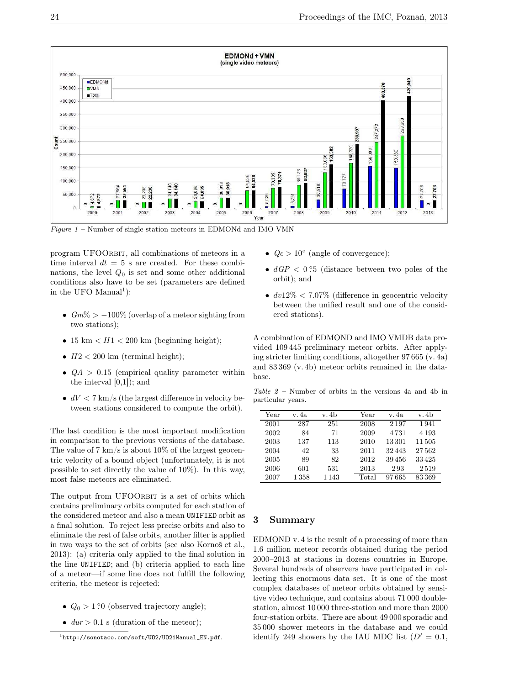

Figure  $1$  – Number of single-station meteors in EDMONd and IMO VMN

program UFOORBIT, all combinations of meteors in a time interval  $dt = 5$  s are created. For these combinations, the level  $Q_0$  is set and some other additional conditions also have to be set (parameters are defined in the UFO Manual<sup>1</sup>):

- $Gm\% > -100\%$  (overlap of a meteor sighting from two stations);
- 15 km  $\lt H1 \lt 200$  km (beginning height);
- $H2 < 200$  km (terminal height);
- $QA > 0.15$  (empirical quality parameter within the interval [0,1]); and
- $dV < 7$  km/s (the largest difference in velocity between stations considered to compute the orbit).

The last condition is the most important modification in comparison to the previous versions of the database. The value of 7 km/s is about  $10\%$  of the largest geocentric velocity of a bound object (unfortunately, it is not possible to set directly the value of 10%). In this way, most false meteors are eliminated.

The output from UFOORBIT is a set of orbits which contains preliminary orbits computed for each station of the considered meteor and also a mean UNIFIED orbit as a final solution. To reject less precise orbits and also to eliminate the rest of false orbits, another filter is applied in two ways to the set of orbits (see also Kornoš et al., 2013): (a) criteria only applied to the final solution in the line UNIFIED; and (b) criteria applied to each line of a meteor—if some line does not fulfill the following criteria, the meteor is rejected:

- $Q_0 > 1.20$  (observed trajectory angle);
- $dur > 0.1$  s (duration of the meteor);
- $Qc > 10^{\circ}$  (angle of convergence);
- $dGP < 0.5$  (distance between two poles of the orbit); and
- $dv12\% < 7.07\%$  (difference in geocentric velocity between the unified result and one of the considered stations).

A combination of EDMOND and IMO VMDB data provided 109 445 preliminary meteor orbits. After applying stricter limiting conditions, altogether 97 665 (v. 4a) and 83 369 (v. 4b) meteor orbits remained in the database.

Table 2 – Number of orbits in the versions 4a and 4b in particular years.

| Year | v. 4a    | v. 4b | Year  | v. 4a   | v. 4b   |
|------|----------|-------|-------|---------|---------|
| 2001 | 287      | 251   | 2008  | 2 1 9 7 | 1941    |
| 2002 | 84       | 71    | 2009  | 4 7 3 1 | 4 1 9 3 |
| 2003 | 137      | 113   | 2010  | 13301   | 11 505  |
| 2004 | 42       | 33    | 2011  | 32443   | 27562   |
| 2005 | 89       | 82    | 2012  | 39456   | 33425   |
| 2006 | 601      | 531   | 2013  | 293     | 2519    |
| 2007 | $1\,358$ | 1 143 | Total | 97665   | 83369   |

## 3 Summary

EDMOND v. 4 is the result of a processing of more than 1.6 million meteor records obtained during the period 2000–2013 at stations in dozens countries in Europe. Several hundreds of observers have participated in collecting this enormous data set. It is one of the most complex databases of meteor orbits obtained by sensitive video technique, and contains about 71 000 doublestation, almost 10 000 three-station and more than 2000 four-station orbits. There are about 49 000 sporadic and 35 000 shower meteors in the database and we could identify 249 showers by the IAU MDC list  $(D' = 0.1,$ 

<sup>1</sup>http://sonotaco.com/soft/UO2/UO21Manual\_EN.pdf.